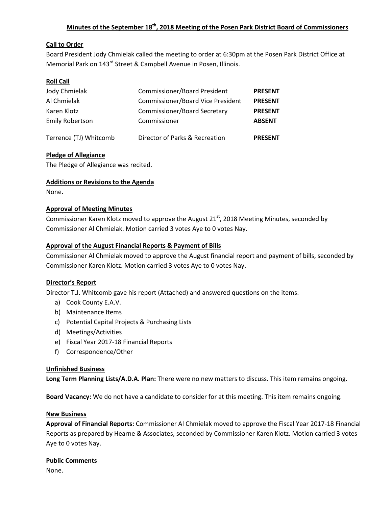# **Minutes of the September 18th, 2018 Meeting of the Posen Park District Board of Commissioners**

# **Call to Order**

Board President Jody Chmielak called the meeting to order at 6:30pm at the Posen Park District Office at Memorial Park on 143<sup>rd</sup> Street & Campbell Avenue in Posen, Illinois.

## **Roll Call**

| Jody Chmielak          | <b>Commissioner/Board President</b>      | <b>PRESENT</b> |
|------------------------|------------------------------------------|----------------|
| Al Chmielak            | <b>Commissioner/Board Vice President</b> | <b>PRESENT</b> |
| Karen Klotz            | <b>Commissioner/Board Secretary</b>      | <b>PRESENT</b> |
| <b>Emily Robertson</b> | Commissioner                             | <b>ABSENT</b>  |
| Terrence (TJ) Whitcomb | Director of Parks & Recreation           | <b>PRESENT</b> |

## **Pledge of Allegiance**

The Pledge of Allegiance was recited.

#### **Additions or Revisions to the Agenda**

None.

#### **Approval of Meeting Minutes**

Commissioner Karen Klotz moved to approve the August  $21<sup>st</sup>$ , 2018 Meeting Minutes, seconded by Commissioner Al Chmielak. Motion carried 3 votes Aye to 0 votes Nay.

#### **Approval of the August Financial Reports & Payment of Bills**

Commissioner Al Chmielak moved to approve the August financial report and payment of bills, seconded by Commissioner Karen Klotz. Motion carried 3 votes Aye to 0 votes Nay.

#### **Director's Report**

Director T.J. Whitcomb gave his report (Attached) and answered questions on the items.

- a) Cook County E.A.V.
- b) Maintenance Items
- c) Potential Capital Projects & Purchasing Lists
- d) Meetings/Activities
- e) Fiscal Year 2017-18 Financial Reports
- f) Correspondence/Other

#### **Unfinished Business**

**Long Term Planning Lists/A.D.A. Plan:** There were no new matters to discuss. This item remains ongoing.

**Board Vacancy:** We do not have a candidate to consider for at this meeting. This item remains ongoing.

#### **New Business**

**Approval of Financial Reports:** Commissioner Al Chmielak moved to approve the Fiscal Year 2017-18 Financial Reports as prepared by Hearne & Associates, seconded by Commissioner Karen Klotz. Motion carried 3 votes Aye to 0 votes Nay.

#### **Public Comments**

None.